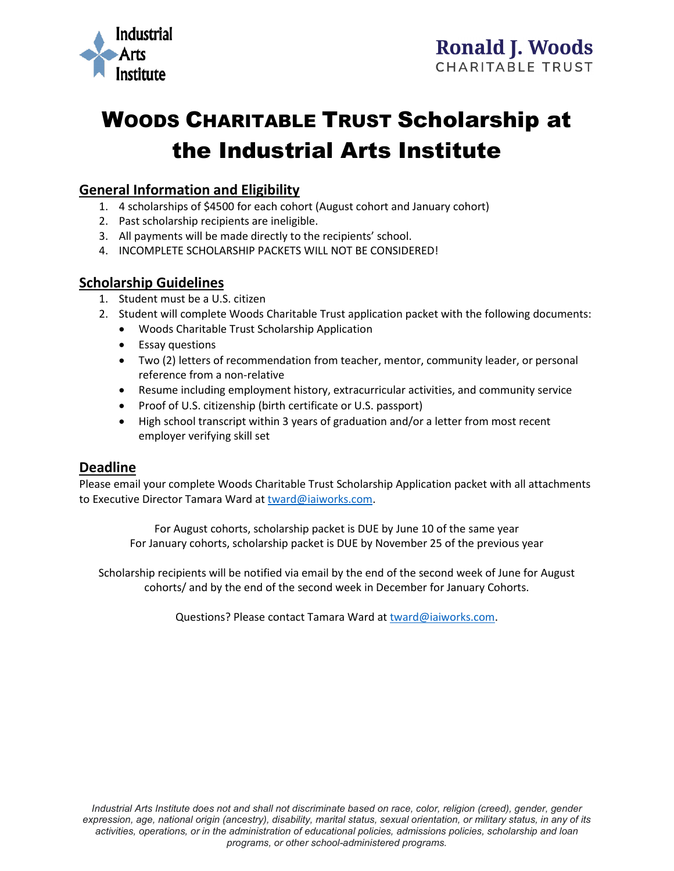

# WOODS CHARITABLE TRUST Scholarship at the Industrial Arts Institute

## **General Information and Eligibility**

- 1. 4 scholarships of \$4500 for each cohort (August cohort and January cohort)
- 2. Past scholarship recipients are ineligible.
- 3. All payments will be made directly to the recipients' school.
- 4. INCOMPLETE SCHOLARSHIP PACKETS WILL NOT BE CONSIDERED!

## **Scholarship Guidelines**

- 1. Student must be a U.S. citizen
- 2. Student will complete Woods Charitable Trust application packet with the following documents:
	- Woods Charitable Trust Scholarship Application
	- Essay questions
	- Two (2) letters of recommendation from teacher, mentor, community leader, or personal reference from a non-relative
	- Resume including employment history, extracurricular activities, and community service
	- Proof of U.S. citizenship (birth certificate or U.S. passport)
	- High school transcript within 3 years of graduation and/or a letter from most recent employer verifying skill set

## **Deadline**

Please email your complete Woods Charitable Trust Scholarship Application packet with all attachments to Executive Director Tamara Ward at [tward@iaiworks.com.](mailto:tward@iaiworks.com)

For August cohorts, scholarship packet is DUE by June 10 of the same year For January cohorts, scholarship packet is DUE by November 25 of the previous year

Scholarship recipients will be notified via email by the end of the second week of June for August cohorts/ and by the end of the second week in December for January Cohorts.

Questions? Please contact Tamara Ward at [tward@iaiworks.com.](mailto:tward@iaiworks.com)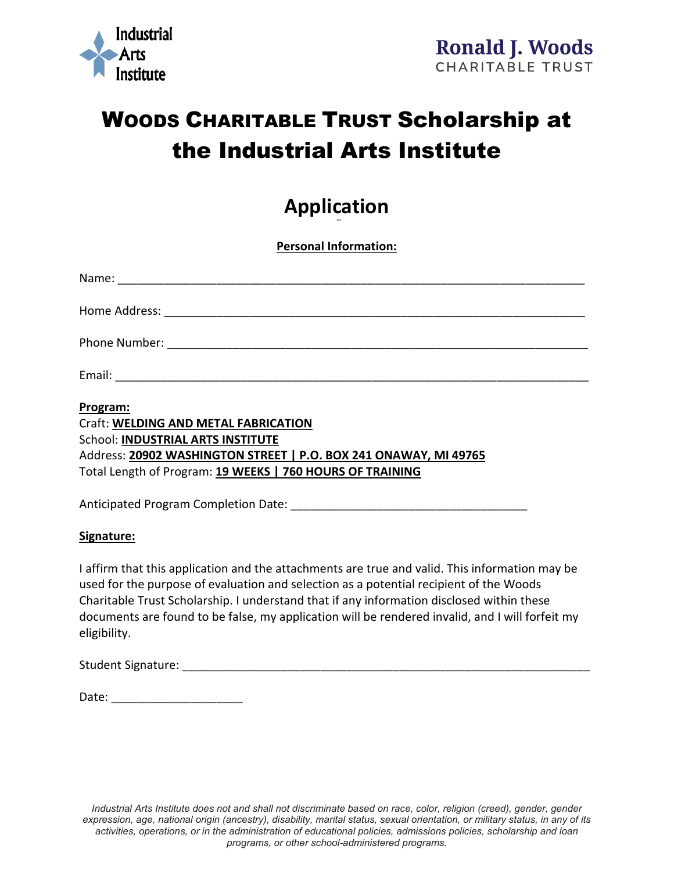

## WOODS CHARITABLE TRUST Scholarship at the Industrial Arts Institute

#### **Application PG 1**

**Personal Information:**

| Program:<br>Craft: WELDING AND METAL FABRICATION |
|--------------------------------------------------|

School: **INDUSTRIAL ARTS INSTITUTE** Address: **20902 WASHINGTON STREET | P.O. BOX 241 ONAWAY, MI 49765** Total Length of Program: **19 WEEKS | 760 HOURS OF TRAINING**

Anticipated Program Completion Date: **Example 2018** 

#### **Signature:**

I affirm that this application and the attachments are true and valid. This information may be used for the purpose of evaluation and selection as a potential recipient of the Woods Charitable Trust Scholarship. I understand that if any information disclosed within these documents are found to be false, my application will be rendered invalid, and I will forfeit my eligibility.

Student Signature: The Contract of the Contract of Tensors and Tensors and Tensors and Tensors and Tensors and

| Date: |  |
|-------|--|
|       |  |